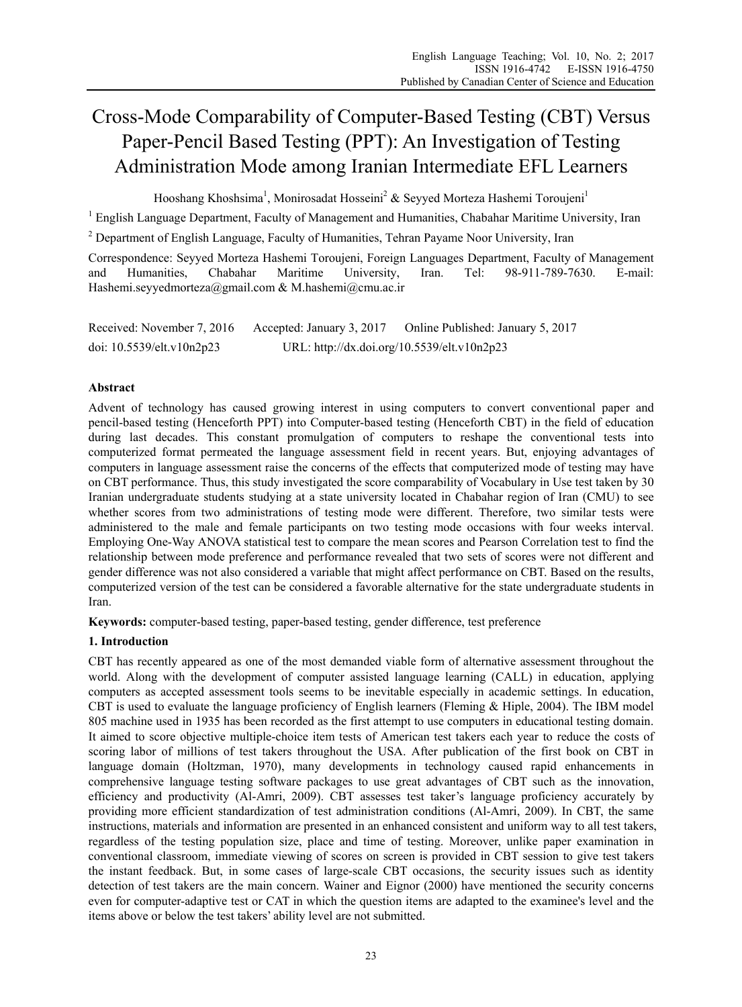# Cross-Mode Comparability of Computer-Based Testing (CBT) Versus Paper-Pencil Based Testing (PPT): An Investigation of Testing Administration Mode among Iranian Intermediate EFL Learners

Hooshang Khoshsima<sup>1</sup>, Monirosadat Hosseini<sup>2</sup> & Seyyed Morteza Hashemi Toroujeni<sup>1</sup>

<sup>1</sup> English Language Department, Faculty of Management and Humanities, Chabahar Maritime University, Iran

 $2$  Department of English Language, Faculty of Humanities, Tehran Payame Noor University, Iran

Correspondence: Seyyed Morteza Hashemi Toroujeni, Foreign Languages Department, Faculty of Management and Humanities, Chabahar Maritime University, Iran. Tel: 98-911-789-7630. E-mail: Hashemi.seyyedmorteza@gmail.com & M.hashemi@cmu.ac.ir

Received: November 7, 2016 Accepted: January 3, 2017 Online Published: January 5, 2017 doi: 10.5539/elt.v10n2p23 URL: http://dx.doi.org/10.5539/elt.v10n2p23

# **Abstract**

Advent of technology has caused growing interest in using computers to convert conventional paper and pencil-based testing (Henceforth PPT) into Computer-based testing (Henceforth CBT) in the field of education during last decades. This constant promulgation of computers to reshape the conventional tests into computerized format permeated the language assessment field in recent years. But, enjoying advantages of computers in language assessment raise the concerns of the effects that computerized mode of testing may have on CBT performance. Thus, this study investigated the score comparability of Vocabulary in Use test taken by 30 Iranian undergraduate students studying at a state university located in Chabahar region of Iran (CMU) to see whether scores from two administrations of testing mode were different. Therefore, two similar tests were administered to the male and female participants on two testing mode occasions with four weeks interval. Employing One-Way ANOVA statistical test to compare the mean scores and Pearson Correlation test to find the relationship between mode preference and performance revealed that two sets of scores were not different and gender difference was not also considered a variable that might affect performance on CBT. Based on the results, computerized version of the test can be considered a favorable alternative for the state undergraduate students in Iran.

**Keywords:** computer-based testing, paper-based testing, gender difference, test preference

# **1. Introduction**

CBT has recently appeared as one of the most demanded viable form of alternative assessment throughout the world. Along with the development of computer assisted language learning (CALL) in education, applying computers as accepted assessment tools seems to be inevitable especially in academic settings. In education, CBT is used to evaluate the language proficiency of English learners (Fleming & Hiple, 2004). The IBM model 805 machine used in 1935 has been recorded as the first attempt to use computers in educational testing domain. It aimed to score objective multiple-choice item tests of American test takers each year to reduce the costs of scoring labor of millions of test takers throughout the USA. After publication of the first book on CBT in language domain (Holtzman, 1970), many developments in technology caused rapid enhancements in comprehensive language testing software packages to use great advantages of CBT such as the innovation, efficiency and productivity (Al-Amri, 2009). CBT assesses test taker's language proficiency accurately by providing more efficient standardization of test administration conditions (Al-Amri, 2009). In CBT, the same instructions, materials and information are presented in an enhanced consistent and uniform way to all test takers, regardless of the testing population size, place and time of testing. Moreover, unlike paper examination in conventional classroom, immediate viewing of scores on screen is provided in CBT session to give test takers the instant feedback. But, in some cases of large-scale CBT occasions, the security issues such as identity detection of test takers are the main concern. Wainer and Eignor (2000) have mentioned the security concerns even for computer-adaptive test or CAT in which the question items are adapted to the examinee's level and the items above or below the test takers' ability level are not submitted.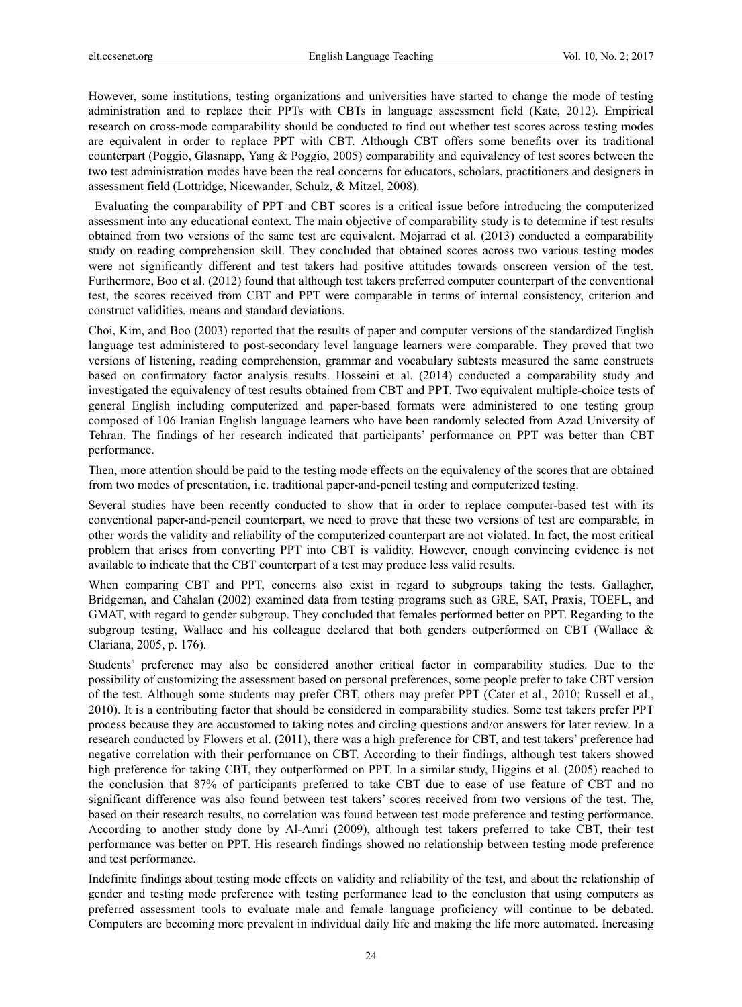However, some institutions, testing organizations and universities have started to change the mode of testing administration and to replace their PPTs with CBTs in language assessment field (Kate, 2012). Empirical research on cross-mode comparability should be conducted to find out whether test scores across testing modes are equivalent in order to replace PPT with CBT. Although CBT offers some benefits over its traditional counterpart (Poggio, Glasnapp, Yang & Poggio, 2005) comparability and equivalency of test scores between the two test administration modes have been the real concerns for educators, scholars, practitioners and designers in assessment field (Lottridge, Nicewander, Schulz, & Mitzel, 2008).

 Evaluating the comparability of PPT and CBT scores is a critical issue before introducing the computerized assessment into any educational context. The main objective of comparability study is to determine if test results obtained from two versions of the same test are equivalent. Mojarrad et al. (2013) conducted a comparability study on reading comprehension skill. They concluded that obtained scores across two various testing modes were not significantly different and test takers had positive attitudes towards onscreen version of the test. Furthermore, Boo et al. (2012) found that although test takers preferred computer counterpart of the conventional test, the scores received from CBT and PPT were comparable in terms of internal consistency, criterion and construct validities, means and standard deviations.

Choi, Kim, and Boo (2003) reported that the results of paper and computer versions of the standardized English language test administered to post-secondary level language learners were comparable. They proved that two versions of listening, reading comprehension, grammar and vocabulary subtests measured the same constructs based on confirmatory factor analysis results. Hosseini et al. (2014) conducted a comparability study and investigated the equivalency of test results obtained from CBT and PPT. Two equivalent multiple-choice tests of general English including computerized and paper-based formats were administered to one testing group composed of 106 Iranian English language learners who have been randomly selected from Azad University of Tehran. The findings of her research indicated that participants' performance on PPT was better than CBT performance.

Then, more attention should be paid to the testing mode effects on the equivalency of the scores that are obtained from two modes of presentation, i.e. traditional paper-and-pencil testing and computerized testing.

Several studies have been recently conducted to show that in order to replace computer-based test with its conventional paper-and-pencil counterpart, we need to prove that these two versions of test are comparable, in other words the validity and reliability of the computerized counterpart are not violated. In fact, the most critical problem that arises from converting PPT into CBT is validity. However, enough convincing evidence is not available to indicate that the CBT counterpart of a test may produce less valid results.

When comparing CBT and PPT, concerns also exist in regard to subgroups taking the tests. Gallagher, Bridgeman, and Cahalan (2002) examined data from testing programs such as GRE, SAT, Praxis, TOEFL, and GMAT, with regard to gender subgroup. They concluded that females performed better on PPT. Regarding to the subgroup testing, Wallace and his colleague declared that both genders outperformed on CBT (Wallace  $\&$ Clariana, 2005, p. 176).

Students' preference may also be considered another critical factor in comparability studies. Due to the possibility of customizing the assessment based on personal preferences, some people prefer to take CBT version of the test. Although some students may prefer CBT, others may prefer PPT (Cater et al., 2010; Russell et al., 2010). It is a contributing factor that should be considered in comparability studies. Some test takers prefer PPT process because they are accustomed to taking notes and circling questions and/or answers for later review. In a research conducted by Flowers et al. (2011), there was a high preference for CBT, and test takers' preference had negative correlation with their performance on CBT. According to their findings, although test takers showed high preference for taking CBT, they outperformed on PPT. In a similar study, Higgins et al. (2005) reached to the conclusion that 87% of participants preferred to take CBT due to ease of use feature of CBT and no significant difference was also found between test takers' scores received from two versions of the test. The, based on their research results, no correlation was found between test mode preference and testing performance. According to another study done by Al-Amri (2009), although test takers preferred to take CBT, their test performance was better on PPT. His research findings showed no relationship between testing mode preference and test performance.

Indefinite findings about testing mode effects on validity and reliability of the test, and about the relationship of gender and testing mode preference with testing performance lead to the conclusion that using computers as preferred assessment tools to evaluate male and female language proficiency will continue to be debated. Computers are becoming more prevalent in individual daily life and making the life more automated. Increasing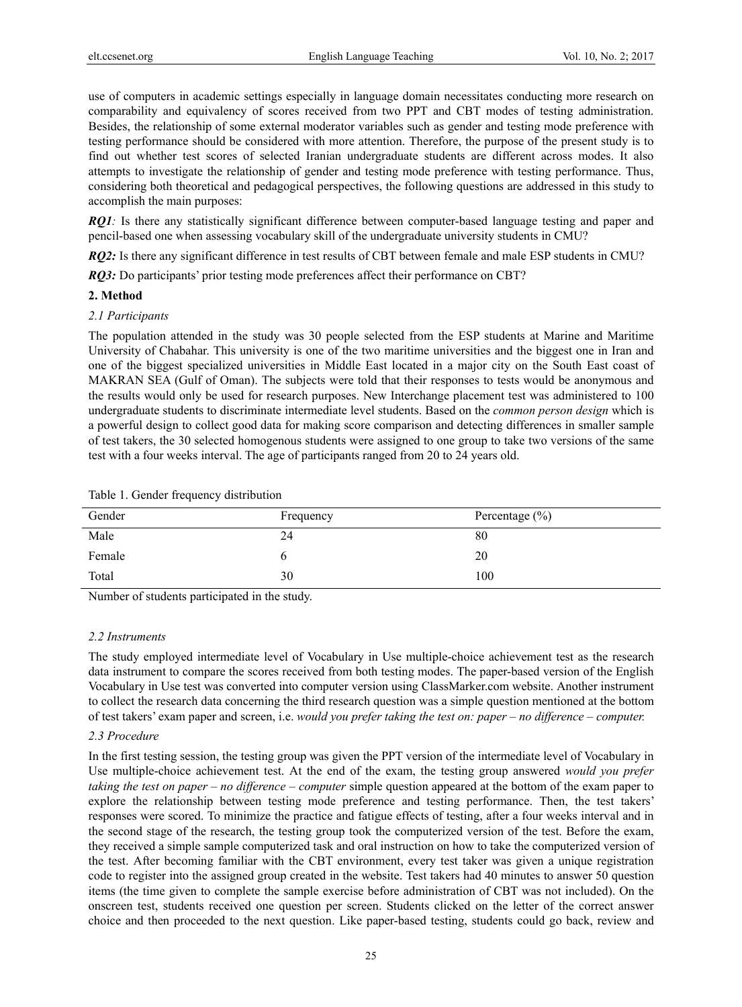use of computers in academic settings especially in language domain necessitates conducting more research on comparability and equivalency of scores received from two PPT and CBT modes of testing administration. Besides, the relationship of some external moderator variables such as gender and testing mode preference with testing performance should be considered with more attention. Therefore, the purpose of the present study is to find out whether test scores of selected Iranian undergraduate students are different across modes. It also attempts to investigate the relationship of gender and testing mode preference with testing performance. Thus, considering both theoretical and pedagogical perspectives, the following questions are addressed in this study to accomplish the main purposes:

*RO1:* Is there any statistically significant difference between computer-based language testing and paper and pencil-based one when assessing vocabulary skill of the undergraduate university students in CMU?

*RQ2*: Is there any significant difference in test results of CBT between female and male ESP students in CMU?

*RQ3:* Do participants' prior testing mode preferences affect their performance on CBT?

## **2. Method**

## *2.1 Participants*

The population attended in the study was 30 people selected from the ESP students at Marine and Maritime University of Chabahar. This university is one of the two maritime universities and the biggest one in Iran and one of the biggest specialized universities in Middle East located in a major city on the South East coast of MAKRAN SEA (Gulf of Oman). The subjects were told that their responses to tests would be anonymous and the results would only be used for research purposes. New Interchange placement test was administered to 100 undergraduate students to discriminate intermediate level students. Based on the *common person design* which is a powerful design to collect good data for making score comparison and detecting differences in smaller sample of test takers, the 30 selected homogenous students were assigned to one group to take two versions of the same test with a four weeks interval. The age of participants ranged from 20 to 24 years old.

## Table 1. Gender frequency distribution

| Gender | Frequency | Percentage $(\% )$ |
|--------|-----------|--------------------|
| Male   | 24        | 80                 |
| Female |           | 20                 |
| Total  | 30        | 100                |

Number of students participated in the study.

#### *2.2 Instruments*

The study employed intermediate level of Vocabulary in Use multiple-choice achievement test as the research data instrument to compare the scores received from both testing modes. The paper-based version of the English Vocabulary in Use test was converted into computer version using ClassMarker.com website. Another instrument to collect the research data concerning the third research question was a simple question mentioned at the bottom of test takers' exam paper and screen, i.e. *would you prefer taking the test on: paper – no difference – computer.* 

## *2.3 Procedure*

In the first testing session, the testing group was given the PPT version of the intermediate level of Vocabulary in Use multiple-choice achievement test. At the end of the exam, the testing group answered *would you prefer taking the test on paper – no difference – computer* simple question appeared at the bottom of the exam paper to explore the relationship between testing mode preference and testing performance. Then, the test takers' responses were scored. To minimize the practice and fatigue effects of testing, after a four weeks interval and in the second stage of the research, the testing group took the computerized version of the test. Before the exam, they received a simple sample computerized task and oral instruction on how to take the computerized version of the test. After becoming familiar with the CBT environment, every test taker was given a unique registration code to register into the assigned group created in the website. Test takers had 40 minutes to answer 50 question items (the time given to complete the sample exercise before administration of CBT was not included). On the onscreen test, students received one question per screen. Students clicked on the letter of the correct answer choice and then proceeded to the next question. Like paper-based testing, students could go back, review and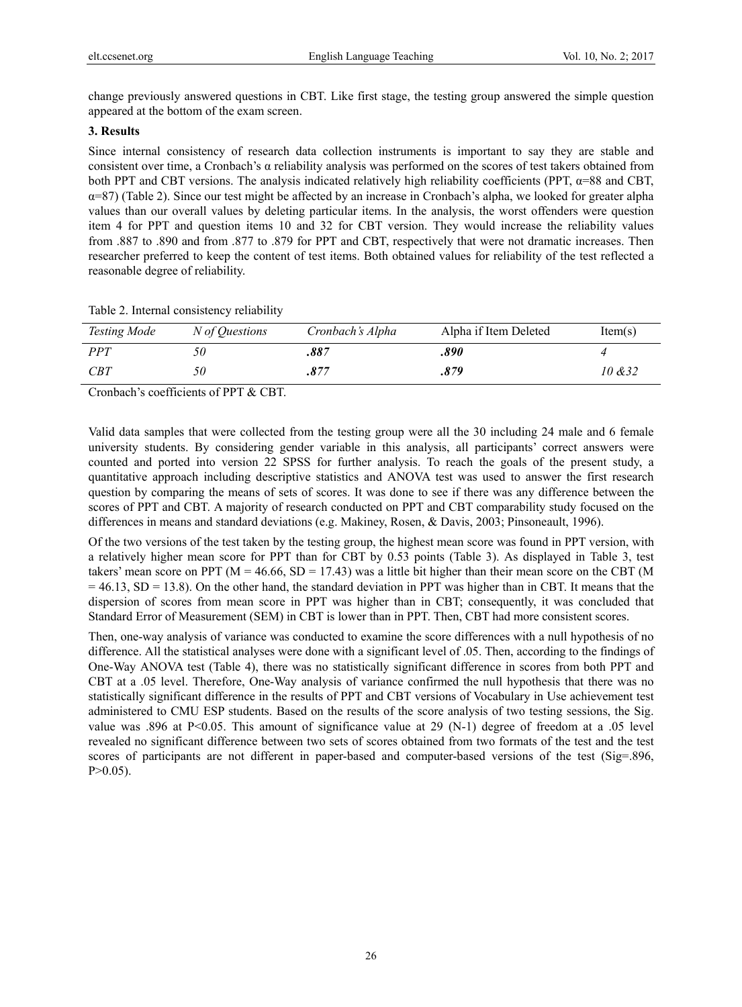change previously answered questions in CBT. Like first stage, the testing group answered the simple question appeared at the bottom of the exam screen.

## **3. Results**

Since internal consistency of research data collection instruments is important to say they are stable and consistent over time, a Cronbach's  $\alpha$  reliability analysis was performed on the scores of test takers obtained from both PPT and CBT versions. The analysis indicated relatively high reliability coefficients (PPT, α=88 and CBT, α=87) (Table 2). Since our test might be affected by an increase in Cronbach's alpha, we looked for greater alpha values than our overall values by deleting particular items. In the analysis, the worst offenders were question item 4 for PPT and question items 10 and 32 for CBT version. They would increase the reliability values from .887 to .890 and from .877 to .879 for PPT and CBT, respectively that were not dramatic increases. Then researcher preferred to keep the content of test items. Both obtained values for reliability of the test reflected a reasonable degree of reliability.

| <b>Testing Mode</b> | N of Questions | Cronbach's Alpha | Alpha if Item Deleted | Item(s)    |
|---------------------|----------------|------------------|-----------------------|------------|
| PPT                 |                | .887             | .890                  |            |
| CBT                 |                | .877             | .879                  | $10 \& 32$ |

Cronbach's coefficients of PPT & CBT.

Valid data samples that were collected from the testing group were all the 30 including 24 male and 6 female university students. By considering gender variable in this analysis, all participants' correct answers were counted and ported into version 22 SPSS for further analysis. To reach the goals of the present study, a quantitative approach including descriptive statistics and ANOVA test was used to answer the first research question by comparing the means of sets of scores. It was done to see if there was any difference between the scores of PPT and CBT. A majority of research conducted on PPT and CBT comparability study focused on the differences in means and standard deviations (e.g. Makiney, Rosen, & Davis, 2003; Pinsoneault, 1996).

Of the two versions of the test taken by the testing group, the highest mean score was found in PPT version, with a relatively higher mean score for PPT than for CBT by 0.53 points (Table 3). As displayed in Table 3, test takers' mean score on PPT ( $M = 46.66$ ,  $SD = 17.43$ ) was a little bit higher than their mean score on the CBT (M  $= 46.13$ , SD = 13.8). On the other hand, the standard deviation in PPT was higher than in CBT. It means that the dispersion of scores from mean score in PPT was higher than in CBT; consequently, it was concluded that Standard Error of Measurement (SEM) in CBT is lower than in PPT. Then, CBT had more consistent scores.

Then, one-way analysis of variance was conducted to examine the score differences with a null hypothesis of no difference. All the statistical analyses were done with a significant level of .05. Then, according to the findings of One-Way ANOVA test (Table 4), there was no statistically significant difference in scores from both PPT and CBT at a .05 level. Therefore, One-Way analysis of variance confirmed the null hypothesis that there was no statistically significant difference in the results of PPT and CBT versions of Vocabulary in Use achievement test administered to CMU ESP students. Based on the results of the score analysis of two testing sessions, the Sig. value was .896 at P<0.05. This amount of significance value at 29 (N-1) degree of freedom at a .05 level revealed no significant difference between two sets of scores obtained from two formats of the test and the test scores of participants are not different in paper-based and computer-based versions of the test (Sig=.896,  $P > 0.05$ ).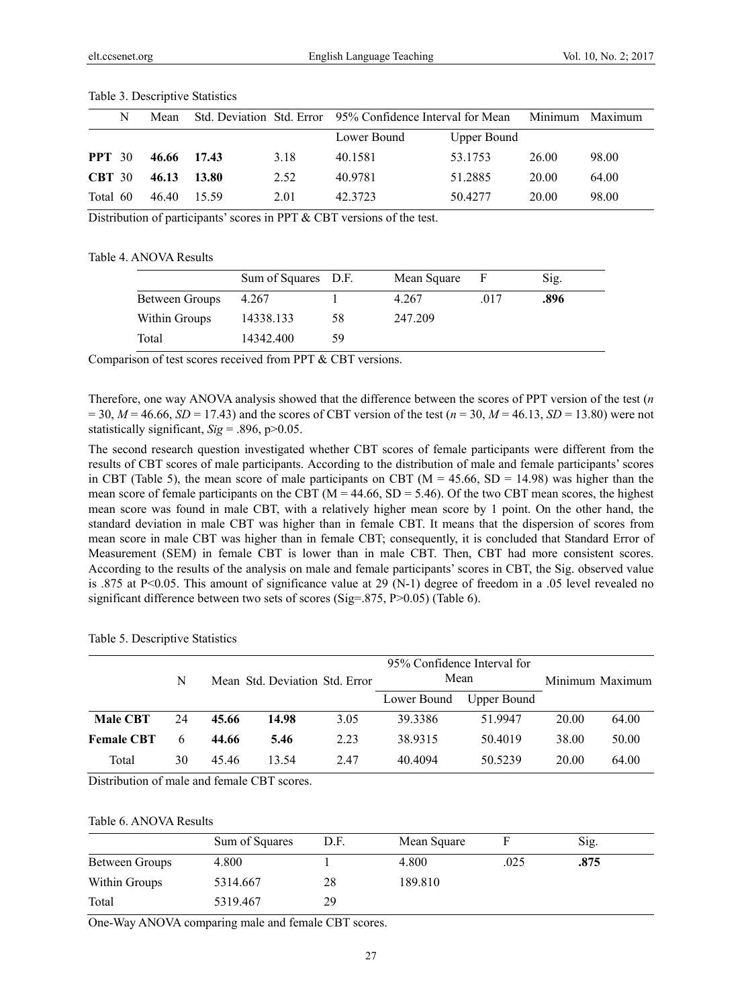|               | N | Mean  |       |      | Std. Deviation Std. Error 95% Confidence Interval for Mean |                    | Minimum | Maximum |
|---------------|---|-------|-------|------|------------------------------------------------------------|--------------------|---------|---------|
|               |   |       |       |      | Lower Bound                                                | <b>Upper Bound</b> |         |         |
| <b>PPT</b> 30 |   | 46.66 | 17.43 | 3.18 | 40.1581                                                    | 53.1753            | 26.00   | 98.00   |
| <b>CBT</b> 30 |   | 46.13 | 13.80 | 2.52 | 40.9781                                                    | 51.2885            | 20.00   | 64.00   |
| Total 60      |   | 46.40 | 15.59 | 2.01 | 42.3723                                                    | 50.4277            | 20.00   | 98.00   |

Table 3. Descriptive Statistics

Distribution of participants' scores in PPT & CBT versions of the test.

#### Table 4. ANOVA Results

|                | Sum of Squares D.F. |    | Mean Square | F   | Sig. |
|----------------|---------------------|----|-------------|-----|------|
| Between Groups | 4.267               |    | 4.267       | 017 | .896 |
| Within Groups  | 14338.133           | 58 | 247.209     |     |      |
| Total          | 14342.400           | 59 |             |     |      |

Comparison of test scores received from PPT & CBT versions.

Therefore, one way ANOVA analysis showed that the difference between the scores of PPT version of the test (*n*  = 30, *M* = 46.66, *SD* = 17.43) and the scores of CBT version of the test (*n* = 30, *M* = 46.13, *SD* = 13.80) were not statistically significant, *Sig* = .896, p>0.05.

The second research question investigated whether CBT scores of female participants were different from the results of CBT scores of male participants. According to the distribution of male and female participants' scores in CBT (Table 5), the mean score of male participants on CBT ( $M = 45.66$ , SD = 14.98) was higher than the mean score of female participants on the CBT ( $M = 44.66$ ,  $SD = 5.46$ ). Of the two CBT mean scores, the highest mean score was found in male CBT, with a relatively higher mean score by 1 point. On the other hand, the standard deviation in male CBT was higher than in female CBT. It means that the dispersion of scores from mean score in male CBT was higher than in female CBT; consequently, it is concluded that Standard Error of Measurement (SEM) in female CBT is lower than in male CBT. Then, CBT had more consistent scores. According to the results of the analysis on male and female participants' scores in CBT, the Sig. observed value is .875 at P<0.05. This amount of significance value at 29 (N-1) degree of freedom in a .05 level revealed no significant difference between two sets of scores ( $\text{Sig} = .875$ , P $> 0.05$ ) (Table 6).

|                   | N  | Mean Std. Deviation Std. Error |       |      | 95% Confidence Interval for<br>Mean |             |       | Minimum Maximum |
|-------------------|----|--------------------------------|-------|------|-------------------------------------|-------------|-------|-----------------|
|                   |    |                                |       |      | Lower Bound                         | Upper Bound |       |                 |
| <b>Male CBT</b>   | 24 | 45.66                          | 14.98 | 3.05 | 39 3386                             | 51 9947     | 20.00 | 64.00           |
| <b>Female CBT</b> | 6  | 44.66                          | 5.46  | 2.23 | 38 9315                             | 50.4019     | 38.00 | 50.00           |
| Total             | 30 | 4546                           | 13.54 | 247  | 40 40 94                            | 50 5239     | 20.00 | 64.00           |

Table 5. Descriptive Statistics

Distribution of male and female CBT scores.

## Table 6. ANOVA Results

|                | Sum of Squares | D.F. | Mean Square |      | Sig. |
|----------------|----------------|------|-------------|------|------|
| Between Groups | 4.800          |      | 4.800       | .025 | .875 |
| Within Groups  | 5314.667       | 28   | 189.810     |      |      |
| Total          | 5319.467       | 29   |             |      |      |

One-Way ANOVA comparing male and female CBT scores.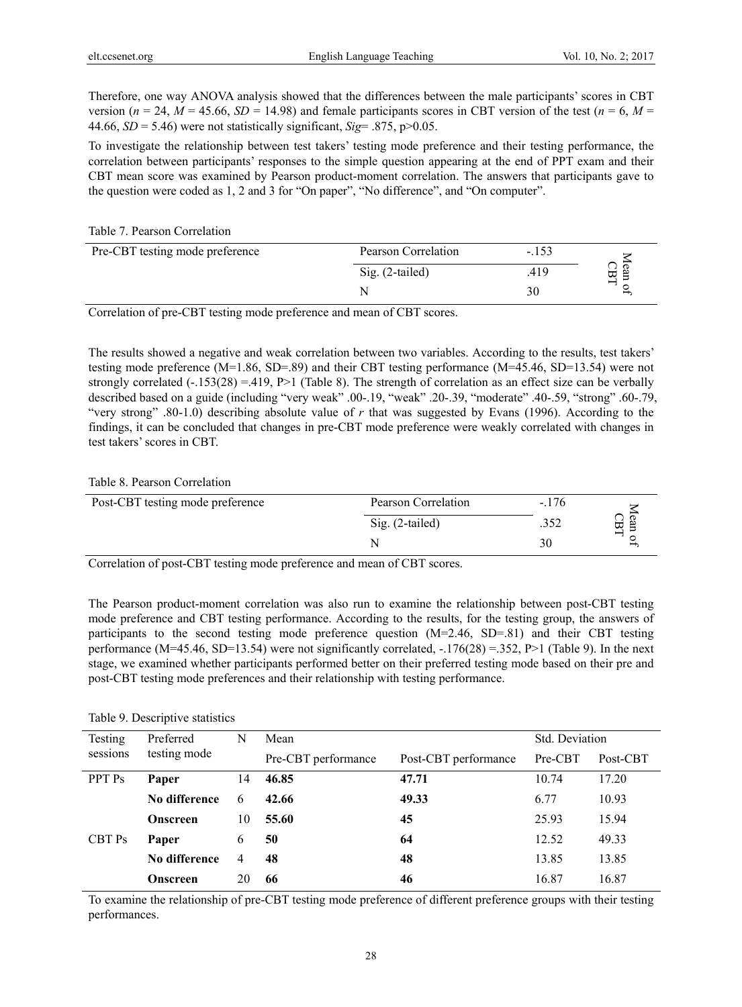Therefore, one way ANOVA analysis showed that the differences between the male participants' scores in CBT version ( $n = 24$ ,  $M = 45.66$ ,  $SD = 14.98$ ) and female participants scores in CBT version of the test ( $n = 6$ ,  $M =$ 44.66,  $SD = 5.46$ ) were not statistically significant,  $Sig = .875$ ,  $p > 0.05$ .

To investigate the relationship between test takers' testing mode preference and their testing performance, the correlation between participants' responses to the simple question appearing at the end of PPT exam and their CBT mean score was examined by Pearson product-moment correlation. The answers that participants gave to the question were coded as 1, 2 and 3 for "On paper", "No difference", and "On computer".

#### Table 7. Pearson Correlation

| Pre-CBT testing mode preference | Pearson Correlation | $-153$ |                   |
|---------------------------------|---------------------|--------|-------------------|
|                                 | $Sig. (2-tailed)$   | .419   | <u>)</u> Φ<br>e a |
|                                 |                     | 30     |                   |

Correlation of pre-CBT testing mode preference and mean of CBT scores.

The results showed a negative and weak correlation between two variables. According to the results, test takers' testing mode preference (M=1.86, SD=.89) and their CBT testing performance (M=45.46, SD=13.54) were not strongly correlated (-.153(28) =.419, P>1 (Table 8). The strength of correlation as an effect size can be verbally described based on a guide (including "very weak" .00-.19, "weak" .20-.39, "moderate" .40-.59, "strong" .60-.79, "very strong" .80-1.0) describing absolute value of *r* that was suggested by Evans (1996). According to the findings, it can be concluded that changes in pre-CBT mode preference were weakly correlated with changes in test takers' scores in CBT.

## Table 8. Pearson Correlation

| Post-CBT testing mode preference | Pearson Correlation | $-.176$ |            |
|----------------------------------|---------------------|---------|------------|
|                                  | $Sig. (2-tailed)$   | .352    | ean<br>CBI |
|                                  |                     | 30      |            |

Correlation of post-CBT testing mode preference and mean of CBT scores.

The Pearson product-moment correlation was also run to examine the relationship between post-CBT testing mode preference and CBT testing performance. According to the results, for the testing group, the answers of participants to the second testing mode preference question  $(M=2.46, SD=81)$  and their CBT testing performance (M=45.46, SD=13.54) were not significantly correlated,  $-.176(28) = .352$ , P>1 (Table 9). In the next stage, we examined whether participants performed better on their preferred testing mode based on their pre and post-CBT testing mode preferences and their relationship with testing performance.

| Table 9. Descriptive statistics |  |
|---------------------------------|--|
|                                 |  |

| Testing  | Preferred       | N  | Mean                |                      | Std. Deviation |          |
|----------|-----------------|----|---------------------|----------------------|----------------|----------|
| sessions | testing mode    |    | Pre-CBT performance | Post-CBT performance | Pre-CBT        | Post-CBT |
| PPT Ps   | Paper           | 14 | 46.85               | 47.71                | 10.74          | 17.20    |
|          | No difference   | 6  | 42.66               | 49.33                | 6.77           | 10.93    |
|          | <b>Onscreen</b> | 10 | 55.60               | 45                   | 25.93          | 15.94    |
| CBT Ps   | Paper           | 6  | 50                  | 64                   | 12.52          | 49.33    |
|          | No difference   | 4  | 48                  | 48                   | 13.85          | 13.85    |
|          | <b>Onscreen</b> | 20 | 66                  | 46                   | 16.87          | 16.87    |

To examine the relationship of pre-CBT testing mode preference of different preference groups with their testing performances.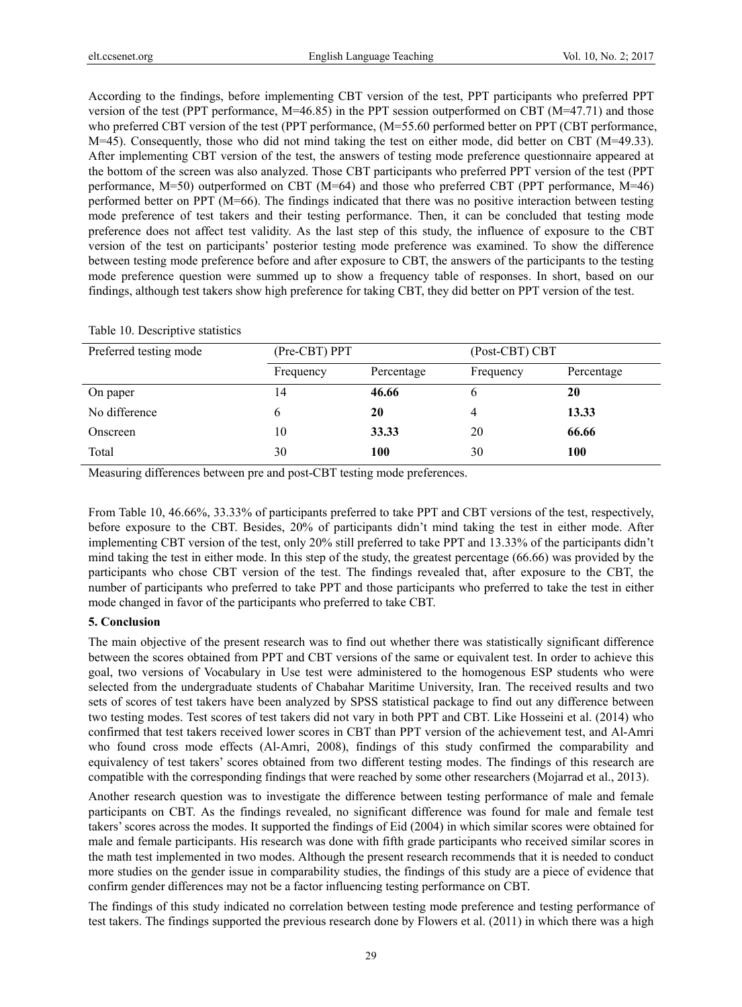According to the findings, before implementing CBT version of the test, PPT participants who preferred PPT version of the test (PPT performance, M=46.85) in the PPT session outperformed on CBT (M=47.71) and those who preferred CBT version of the test (PPT performance,  $(M=55.60$  performed better on PPT (CBT performance, M=45). Consequently, those who did not mind taking the test on either mode, did better on CBT (M=49.33). After implementing CBT version of the test, the answers of testing mode preference questionnaire appeared at the bottom of the screen was also analyzed. Those CBT participants who preferred PPT version of the test (PPT performance, M=50) outperformed on CBT (M=64) and those who preferred CBT (PPT performance, M=46) performed better on PPT (M=66). The findings indicated that there was no positive interaction between testing mode preference of test takers and their testing performance. Then, it can be concluded that testing mode preference does not affect test validity. As the last step of this study, the influence of exposure to the CBT version of the test on participants' posterior testing mode preference was examined. To show the difference between testing mode preference before and after exposure to CBT, the answers of the participants to the testing mode preference question were summed up to show a frequency table of responses. In short, based on our findings, although test takers show high preference for taking CBT, they did better on PPT version of the test.

| Preferred testing mode | (Pre-CBT) PPT |            | (Post-CBT) CBT |            |
|------------------------|---------------|------------|----------------|------------|
|                        | Frequency     | Percentage | Frequency      | Percentage |
| On paper               | 14            | 46.66      | O              | 20         |
| No difference          |               | 20         | 4              | 13.33      |
| Onscreen               | 10            | 33.33      | 20             | 66.66      |
| Total                  | 30            | 100        | 30             | 100        |

Measuring differences between pre and post-CBT testing mode preferences.

From Table 10, 46.66%, 33.33% of participants preferred to take PPT and CBT versions of the test, respectively, before exposure to the CBT. Besides, 20% of participants didn't mind taking the test in either mode. After implementing CBT version of the test, only 20% still preferred to take PPT and 13.33% of the participants didn't mind taking the test in either mode. In this step of the study, the greatest percentage (66.66) was provided by the participants who chose CBT version of the test. The findings revealed that, after exposure to the CBT, the number of participants who preferred to take PPT and those participants who preferred to take the test in either mode changed in favor of the participants who preferred to take CBT.

## **5. Conclusion**

The main objective of the present research was to find out whether there was statistically significant difference between the scores obtained from PPT and CBT versions of the same or equivalent test. In order to achieve this goal, two versions of Vocabulary in Use test were administered to the homogenous ESP students who were selected from the undergraduate students of Chabahar Maritime University, Iran. The received results and two sets of scores of test takers have been analyzed by SPSS statistical package to find out any difference between two testing modes. Test scores of test takers did not vary in both PPT and CBT. Like Hosseini et al. (2014) who confirmed that test takers received lower scores in CBT than PPT version of the achievement test, and Al-Amri who found cross mode effects (Al-Amri, 2008), findings of this study confirmed the comparability and equivalency of test takers' scores obtained from two different testing modes. The findings of this research are compatible with the corresponding findings that were reached by some other researchers (Mojarrad et al., 2013).

Another research question was to investigate the difference between testing performance of male and female participants on CBT. As the findings revealed, no significant difference was found for male and female test takers' scores across the modes. It supported the findings of Eid (2004) in which similar scores were obtained for male and female participants. His research was done with fifth grade participants who received similar scores in the math test implemented in two modes. Although the present research recommends that it is needed to conduct more studies on the gender issue in comparability studies, the findings of this study are a piece of evidence that confirm gender differences may not be a factor influencing testing performance on CBT.

The findings of this study indicated no correlation between testing mode preference and testing performance of test takers. The findings supported the previous research done by Flowers et al. (2011) in which there was a high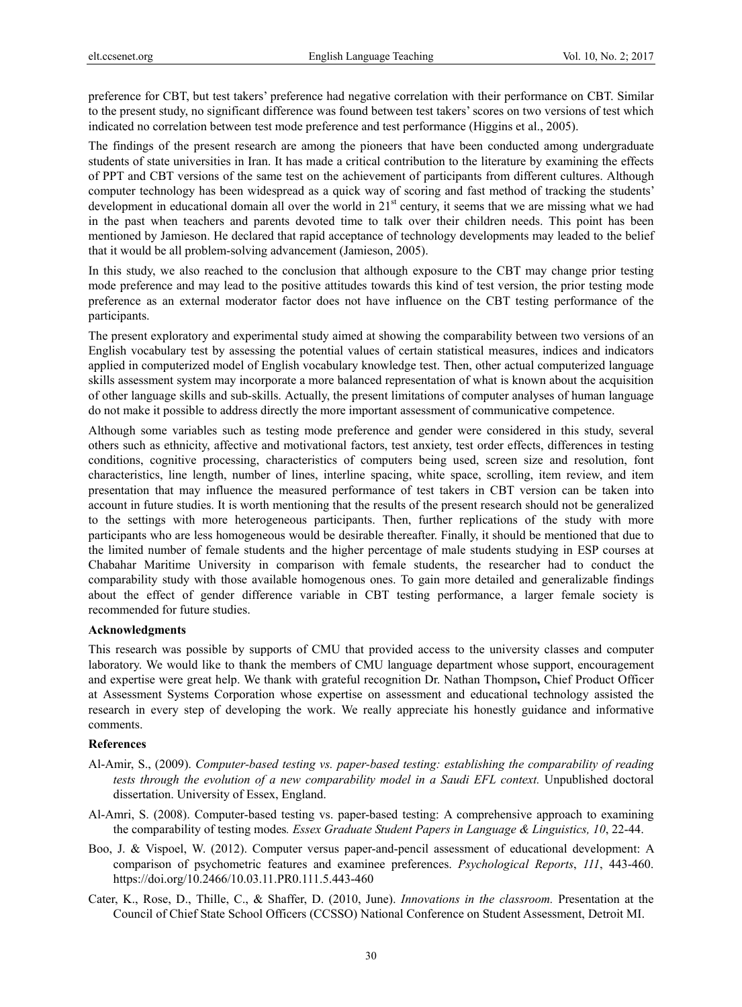preference for CBT, but test takers' preference had negative correlation with their performance on CBT. Similar to the present study, no significant difference was found between test takers' scores on two versions of test which indicated no correlation between test mode preference and test performance (Higgins et al., 2005).

The findings of the present research are among the pioneers that have been conducted among undergraduate students of state universities in Iran. It has made a critical contribution to the literature by examining the effects of PPT and CBT versions of the same test on the achievement of participants from different cultures. Although computer technology has been widespread as a quick way of scoring and fast method of tracking the students' development in educational domain all over the world in 21<sup>st</sup> century, it seems that we are missing what we had in the past when teachers and parents devoted time to talk over their children needs. This point has been mentioned by Jamieson. He declared that rapid acceptance of technology developments may leaded to the belief that it would be all problem-solving advancement (Jamieson, 2005).

In this study, we also reached to the conclusion that although exposure to the CBT may change prior testing mode preference and may lead to the positive attitudes towards this kind of test version, the prior testing mode preference as an external moderator factor does not have influence on the CBT testing performance of the participants.

The present exploratory and experimental study aimed at showing the comparability between two versions of an English vocabulary test by assessing the potential values of certain statistical measures, indices and indicators applied in computerized model of English vocabulary knowledge test. Then, other actual computerized language skills assessment system may incorporate a more balanced representation of what is known about the acquisition of other language skills and sub-skills. Actually, the present limitations of computer analyses of human language do not make it possible to address directly the more important assessment of communicative competence.

Although some variables such as testing mode preference and gender were considered in this study, several others such as ethnicity, affective and motivational factors, test anxiety, test order effects, differences in testing conditions, cognitive processing, characteristics of computers being used, screen size and resolution, font characteristics, line length, number of lines, interline spacing, white space, scrolling, item review, and item presentation that may influence the measured performance of test takers in CBT version can be taken into account in future studies. It is worth mentioning that the results of the present research should not be generalized to the settings with more heterogeneous participants. Then, further replications of the study with more participants who are less homogeneous would be desirable thereafter. Finally, it should be mentioned that due to the limited number of female students and the higher percentage of male students studying in ESP courses at Chabahar Maritime University in comparison with female students, the researcher had to conduct the comparability study with those available homogenous ones. To gain more detailed and generalizable findings about the effect of gender difference variable in CBT testing performance, a larger female society is recommended for future studies.

## **Acknowledgments**

This research was possible by supports of CMU that provided access to the university classes and computer laboratory. We would like to thank the members of CMU language department whose support, encouragement and expertise were great help. We thank with grateful recognition Dr. Nathan Thompson**,** Chief Product Officer at Assessment Systems Corporation whose expertise on assessment and educational technology assisted the research in every step of developing the work. We really appreciate his honestly guidance and informative comments.

#### **References**

- Al-Amir, S., (2009). *Computer-based testing vs. paper-based testing: establishing the comparability of reading tests through the evolution of a new comparability model in a Saudi EFL context.* Unpublished doctoral dissertation. University of Essex, England.
- Al-Amri, S. (2008). Computer-based testing vs. paper-based testing: A comprehensive approach to examining the comparability of testing modes*. Essex Graduate Student Papers in Language & Linguistics, 10*, 22-44.
- Boo, J. & Vispoel, W. (2012). Computer versus paper-and-pencil assessment of educational development: A comparison of psychometric features and examinee preferences. *Psychological Reports*, *111*, 443-460. https://doi.org/10.2466/10.03.11.PR0.111.5.443-460
- Cater, K., Rose, D., Thille, C., & Shaffer, D. (2010, June). *Innovations in the classroom.* Presentation at the Council of Chief State School Officers (CCSSO) National Conference on Student Assessment, Detroit MI.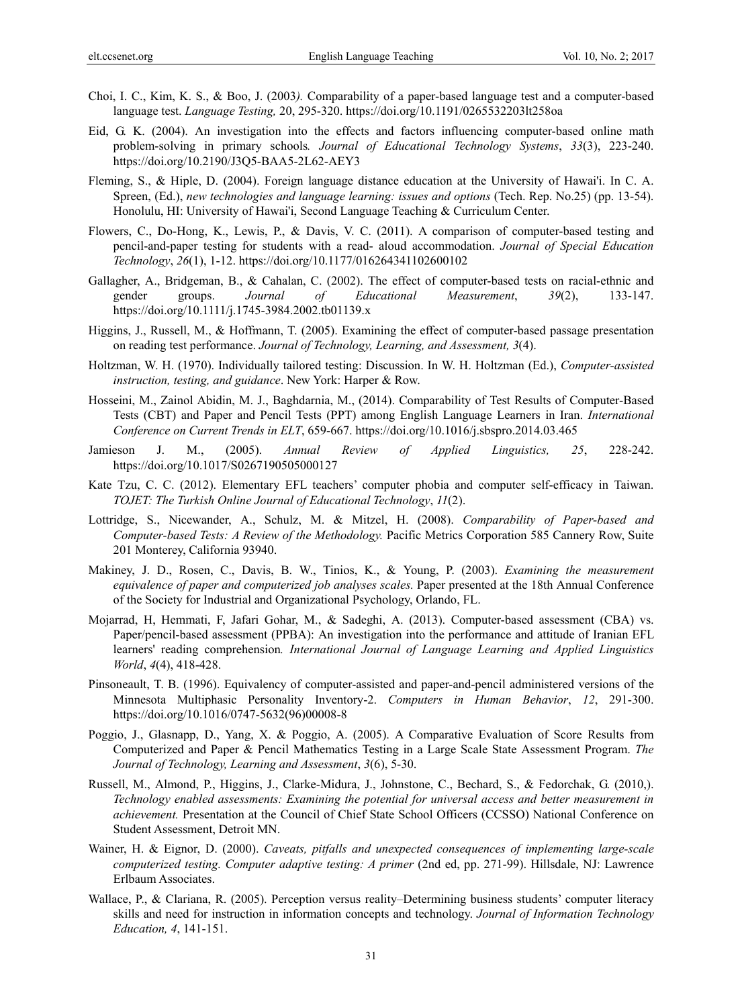- Choi, I. C., Kim, K. S., & Boo, J. (2003*).* Comparability of a paper-based language test and a computer-based language test. *Language Testing,* 20, 295-320. https://doi.org/10.1191/0265532203lt258oa
- Eid, G. K. (2004). An investigation into the effects and factors influencing computer-based online math problem-solving in primary schools*. Journal of Educational Technology Systems*, *33*(3), 223-240. https://doi.org/10.2190/J3Q5-BAA5-2L62-AEY3
- Fleming, S., & Hiple, D. (2004). Foreign language distance education at the University of Hawai'i. In C. A. Spreen, (Ed.), *new technologies and language learning: issues and options* (Tech. Rep. No.25) (pp. 13-54). Honolulu, HI: University of Hawai'i, Second Language Teaching & Curriculum Center.
- Flowers, C., Do-Hong, K., Lewis, P., & Davis, V. C. (2011). A comparison of computer-based testing and pencil-and-paper testing for students with a read- aloud accommodation. *Journal of Special Education Technology*, *26*(1), 1-12. https://doi.org/10.1177/016264341102600102
- Gallagher, A., Bridgeman, B., & Cahalan, C. (2002). The effect of computer-based tests on racial-ethnic and gender groups. *Journal of Educational Measurement*, *39*(2), 133-147. https://doi.org/10.1111/j.1745-3984.2002.tb01139.x
- Higgins, J., Russell, M., & Hoffmann, T. (2005). Examining the effect of computer-based passage presentation on reading test performance. *Journal of Technology, Learning, and Assessment, 3*(4).
- Holtzman, W. H. (1970). Individually tailored testing: Discussion. In W. H. Holtzman (Ed.), *Computer-assisted instruction, testing, and guidance*. New York: Harper & Row.
- Hosseini, M., Zainol Abidin, M. J., Baghdarnia, M., (2014). Comparability of Test Results of Computer-Based Tests (CBT) and Paper and Pencil Tests (PPT) among English Language Learners in Iran. *International Conference on Current Trends in ELT*, 659-667. https://doi.org/10.1016/j.sbspro.2014.03.465
- Jamieson J. M., (2005). *Annual Review of Applied Linguistics, 25*, 228-242. https://doi.org/10.1017/S0267190505000127
- Kate Tzu, C. C. (2012). Elementary EFL teachers' computer phobia and computer self-efficacy in Taiwan. *TOJET: The Turkish Online Journal of Educational Technology*, *11*(2).
- Lottridge, S., Nicewander, A., Schulz, M. & Mitzel, H. (2008). *Comparability of Paper-based and Computer-based Tests: A Review of the Methodology.* Pacific Metrics Corporation 585 Cannery Row, Suite 201 Monterey, California 93940.
- Makiney, J. D., Rosen, C., Davis, B. W., Tinios, K., & Young, P. (2003). *Examining the measurement equivalence of paper and computerized job analyses scales.* Paper presented at the 18th Annual Conference of the Society for Industrial and Organizational Psychology, Orlando, FL.
- Mojarrad, H, Hemmati, F, Jafari Gohar, M., & Sadeghi, A. (2013). Computer-based assessment (CBA) vs. Paper/pencil-based assessment (PPBA): An investigation into the performance and attitude of Iranian EFL learners' reading comprehension*. International Journal of Language Learning and Applied Linguistics World*, *4*(4), 418-428.
- Pinsoneault, T. B. (1996). Equivalency of computer-assisted and paper-and-pencil administered versions of the Minnesota Multiphasic Personality Inventory-2. *Computers in Human Behavior*, *12*, 291-300. https://doi.org/10.1016/0747-5632(96)00008-8
- Poggio, J., Glasnapp, D., Yang, X. & Poggio, A. (2005). A Comparative Evaluation of Score Results from Computerized and Paper & Pencil Mathematics Testing in a Large Scale State Assessment Program. *The Journal of Technology, Learning and Assessment*, *3*(6), 5-30.
- Russell, M., Almond, P., Higgins, J., Clarke-Midura, J., Johnstone, C., Bechard, S., & Fedorchak, G. (2010,). *Technology enabled assessments: Examining the potential for universal access and better measurement in achievement.* Presentation at the Council of Chief State School Officers (CCSSO) National Conference on Student Assessment, Detroit MN.
- Wainer, H. & Eignor, D. (2000). *Caveats, pitfalls and unexpected consequences of implementing large-scale computerized testing. Computer adaptive testing: A primer* (2nd ed, pp. 271-99). Hillsdale, NJ: Lawrence Erlbaum Associates.
- Wallace, P., & Clariana, R. (2005). Perception versus reality–Determining business students' computer literacy skills and need for instruction in information concepts and technology. *Journal of Information Technology Education, 4*, 141-151.